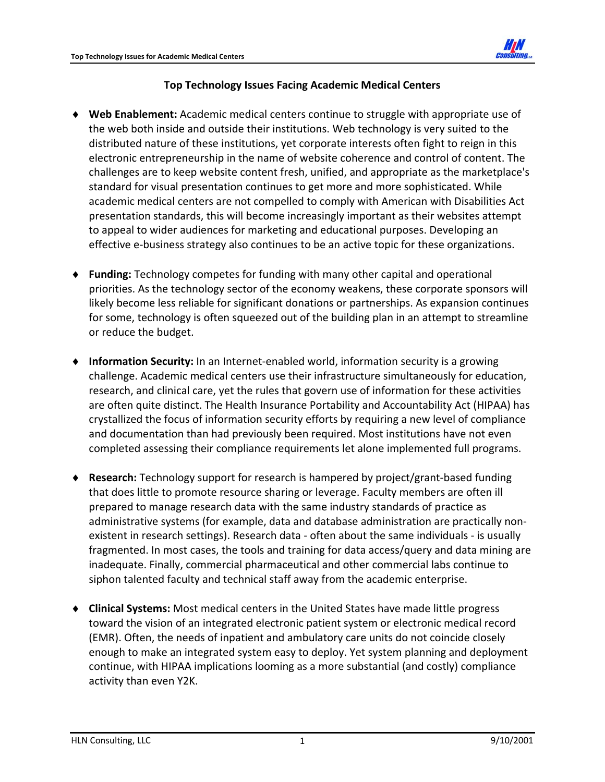

## **Top Technology Issues Facing Academic Medical Centers**

- **Web Enablement:** Academic medical centers continue to struggle with appropriate use of the web both inside and outside their institutions. Web technology is very suited to the distributed nature of these institutions, yet corporate interests often fight to reign in this electronic entrepreneurship in the name of website coherence and control of content. The challenges are to keep website content fresh, unified, and appropriate as the marketplace's standard for visual presentation continues to get more and more sophisticated. While academic medical centers are not compelled to comply with American with Disabilities Act presentation standards, this will become increasingly important as their websites attempt to appeal to wider audiences for marketing and educational purposes. Developing an effective e‐business strategy also continues to be an active topic for these organizations.
- **Funding:** Technology competes for funding with many other capital and operational priorities. As the technology sector of the economy weakens, these corporate sponsors will likely become less reliable for significant donations or partnerships. As expansion continues for some, technology is often squeezed out of the building plan in an attempt to streamline or reduce the budget.
- ◆ Information Security: In an Internet-enabled world, information security is a growing challenge. Academic medical centers use their infrastructure simultaneously for education, research, and clinical care, yet the rules that govern use of information for these activities are often quite distinct. The Health Insurance Portability and Accountability Act (HIPAA) has crystallized the focus of information security efforts by requiring a new level of compliance and documentation than had previously been required. Most institutions have not even completed assessing their compliance requirements let alone implemented full programs.
- **Research:** Technology support for research is hampered by project/grant‐based funding that does little to promote resource sharing or leverage. Faculty members are often ill prepared to manage research data with the same industry standards of practice as administrative systems (for example, data and database administration are practically non‐ existent in research settings). Research data ‐ often about the same individuals ‐ is usually fragmented. In most cases, the tools and training for data access/query and data mining are inadequate. Finally, commercial pharmaceutical and other commercial labs continue to siphon talented faculty and technical staff away from the academic enterprise.
- **Clinical Systems:** Most medical centers in the United States have made little progress toward the vision of an integrated electronic patient system or electronic medical record (EMR). Often, the needs of inpatient and ambulatory care units do not coincide closely enough to make an integrated system easy to deploy. Yet system planning and deployment continue, with HIPAA implications looming as a more substantial (and costly) compliance activity than even Y2K.